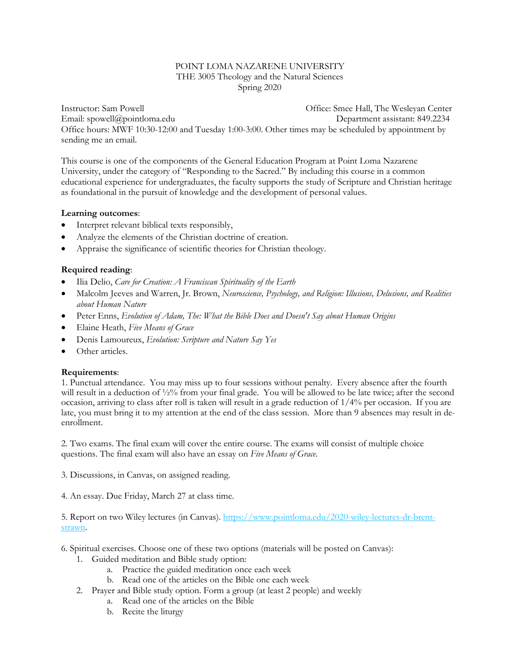#### POINT LOMA NAZARENE UNIVERSITY THE 3005 Theology and the Natural Sciences Spring 2020

Instructor: Sam Powell Office: Smee Hall, The Wesleyan Center Email: [spowell@pointloma.edu](mailto:spowell@ptloma.edu) Department assistant: 849.2234 Office hours: MWF 10:30-12:00 and Tuesday 1:00-3:00. Other times may be scheduled by appointment by sending me an email.

This course is one of the components of the General Education Program at Point Loma Nazarene University, under the category of "Responding to the Sacred." By including this course in a common educational experience for undergraduates, the faculty supports the study of Scripture and Christian heritage as foundational in the pursuit of knowledge and the development of personal values.

#### **Learning outcomes**:

- Interpret relevant biblical texts responsibly,
- Analyze the elements of the Christian doctrine of creation.
- Appraise the significance of scientific theories for Christian theology.

## **Required reading**:

- Ilia Delio, *[Care for Creation: A Franciscan Spirituality of the Earth](https://www.facultyenlight.com/book-details/3890326)*
- Malcolm Jeeves and Warren, Jr. Brown, *Neuroscience, Psychology, and Religion: Illusions, Delusions, and Realities about Human Nature*
- Peter Enns, *[Evolution of Adam, The: What the Bible Does and Doesn't Say about Human Origins](https://www.facultyenlight.com/book-details/19316739)*
- Elaine Heath, *Five Means of Grace*
- Denis Lamoureux, *Evolution: Scripture and Nature Say Yes*
- Other articles.

## **Requirements**:

1. Punctual attendance. You may miss up to four sessions without penalty. Every absence after the fourth will result in a deduction of  $\frac{1}{2}\%$  from your final grade. You will be allowed to be late twice; after the second occasion, arriving to class after roll is taken will result in a grade reduction of  $1/4\%$  per occasion. If you are late, you must bring it to my attention at the end of the class session. More than 9 absences may result in deenrollment.

2. Two exams. The final exam will cover the entire course. The exams will consist of multiple choice questions. The final exam will also have an essay on *Five Means of Grace*.

3. Discussions, in Canvas, on assigned reading.

4. An essay. Due Friday, March 27 at class time.

5. Report on two Wiley lectures (in Canvas)[. https://www.pointloma.edu/2020-wiley-lectures-dr-brent](https://www.pointloma.edu/2020-wiley-lectures-dr-brent-strawn)[strawn.](https://www.pointloma.edu/2020-wiley-lectures-dr-brent-strawn) 

6. Spiritual exercises. Choose one of these two options (materials will be posted on Canvas):

- 1. Guided meditation and Bible study option:
	- a. Practice the guided meditation once each week
	- b. Read one of the articles on the Bible one each week
- 2. Prayer and Bible study option. Form a group (at least 2 people) and weekly
	- a. Read one of the articles on the Bible
	- b. Recite the liturgy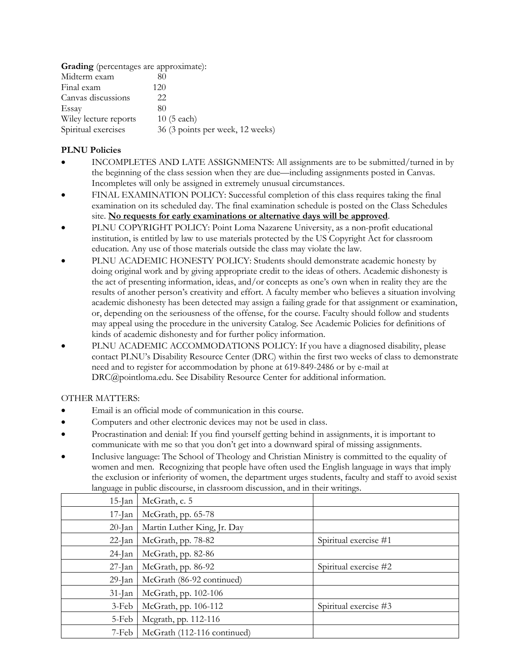| <b>Grading</b> (percentages are approximate): |                                  |  |  |
|-----------------------------------------------|----------------------------------|--|--|
| Midterm exam                                  | 80                               |  |  |
| Final exam                                    | 120                              |  |  |
| Canvas discussions                            | 22                               |  |  |
| Essay                                         | 80                               |  |  |
| Wiley lecture reports                         | $10(5$ each)                     |  |  |
| Spiritual exercises                           | 36 (3 points per week, 12 weeks) |  |  |

# **PLNU Policies**

- INCOMPLETES AND LATE ASSIGNMENTS: All assignments are to be submitted/turned in by the beginning of the class session when they are due—including assignments posted in Canvas. Incompletes will only be assigned in extremely unusual circumstances.
- FINAL EXAMINATION POLICY: Successful completion of this class requires taking the final examination on its scheduled day. The final examination schedule is posted on the Class Schedules site. **No requests for early examinations or alternative days will be approved**.
- PLNU COPYRIGHT POLICY: Point Loma Nazarene University, as a non-profit educational institution, is entitled by law to use materials protected by the US Copyright Act for classroom education. Any use of those materials outside the class may violate the law.
- PLNU ACADEMIC HONESTY POLICY: Students should demonstrate academic honesty by doing original work and by giving appropriate credit to the ideas of others. Academic dishonesty is the act of presenting information, ideas, and/or concepts as one's own when in reality they are the results of another person's creativity and effort. A faculty member who believes a situation involving academic dishonesty has been detected may assign a failing grade for that assignment or examination, or, depending on the seriousness of the offense, for the course. Faculty should follow and students may appeal using the procedure in the university Catalog. See Academic Policies for definitions of kinds of academic dishonesty and for further policy information.
- PLNU ACADEMIC ACCOMMODATIONS POLICY: If you have a diagnosed disability, please contact PLNU's Disability Resource Center (DRC) within the first two weeks of class to demonstrate need and to register for accommodation by phone at 619-849-2486 or by e-mail at DRC@pointloma.edu. See Disability Resource Center for additional information.

## OTHER MATTERS:

- Email is an official mode of communication in this course.
- Computers and other electronic devices may not be used in class.
- Procrastination and denial: If you find yourself getting behind in assignments, it is important to communicate with me so that you don't get into a downward spiral of missing assignments.
- Inclusive language: The School of Theology and Christian Ministry is committed to the equality of women and men. Recognizing that people have often used the English language in ways that imply the exclusion or inferiority of women, the department urges students, faculty and staff to avoid sexist language in public discourse, in classroom discussion, and in their writings.

| $15$ -Jan | McGrath, c. 5               |                       |
|-----------|-----------------------------|-----------------------|
| $17$ -Jan | McGrath, pp. 65-78          |                       |
| $20$ -Jan | Martin Luther King, Jr. Day |                       |
| $22$ -Jan | McGrath, pp. 78-82          | Spiritual exercise #1 |
| $24$ -Jan | McGrath, pp. 82-86          |                       |
| $27$ -Jan | McGrath, pp. 86-92          | Spiritual exercise #2 |
| $29$ -Jan | McGrath (86-92 continued)   |                       |
| $31$ -Jan | McGrath, pp. 102-106        |                       |
| $3-Feb$   | McGrath, pp. 106-112        | Spiritual exercise #3 |
| 5-Feb     | Mcgrath, pp. 112-116        |                       |
| 7-Feb     | McGrath (112-116 continued) |                       |